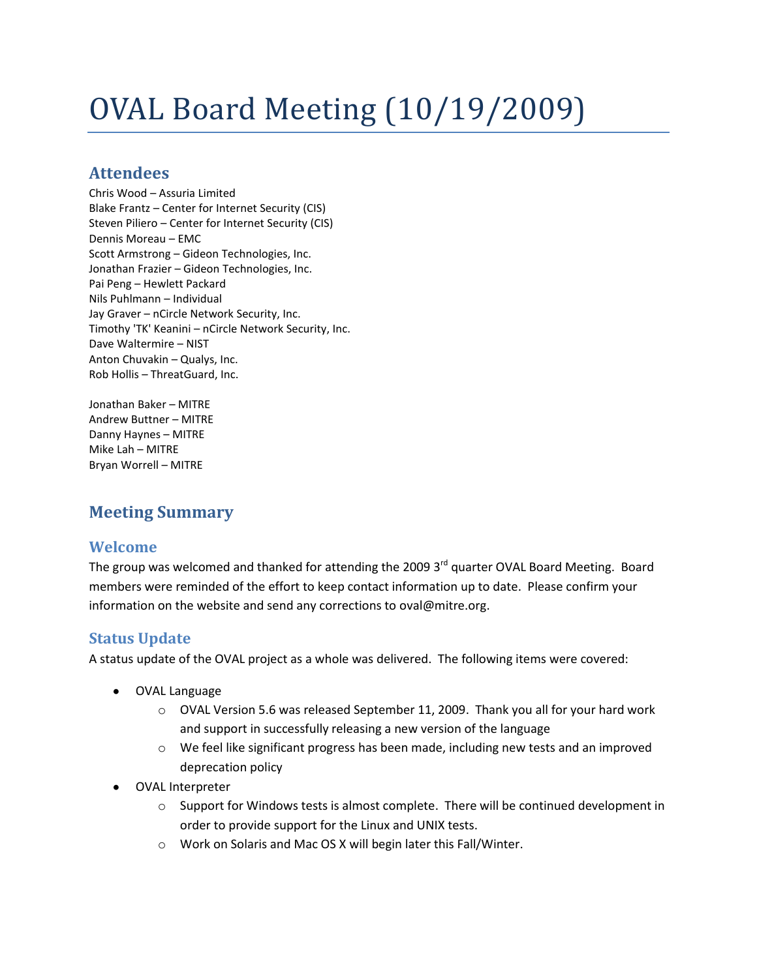# OVAL Board Meeting (10/19/2009)

## **Attendees**

Chris Wood – Assuria Limited Blake Frantz – Center for Internet Security (CIS) Steven Piliero – Center for Internet Security (CIS) Dennis Moreau – EMC Scott Armstrong – Gideon Technologies, Inc. Jonathan Frazier – Gideon Technologies, Inc. Pai Peng – Hewlett Packard Nils Puhlmann – Individual Jay Graver – nCircle Network Security, Inc. Timothy 'TK' Keanini – nCircle Network Security, Inc. Dave Waltermire – NIST Anton Chuvakin – Qualys, Inc. Rob Hollis – ThreatGuard, Inc.

Jonathan Baker – MITRE Andrew Buttner – MITRE Danny Haynes – MITRE Mike Lah – MITRE Bryan Worrell – MITRE

## **Meeting Summary**

## **Welcome**

The group was welcomed and thanked for attending the 2009  $3<sup>rd</sup>$  quarter OVAL Board Meeting. Board members were reminded of the effort to keep contact information up to date. Please confirm your information on the website and send any corrections to oval@mitre.org.

## **Status Update**

A status update of the OVAL project as a whole was delivered. The following items were covered:

- OVAL Language
	- o OVAL Version 5.6 was released September 11, 2009. Thank you all for your hard work and support in successfully releasing a new version of the language
	- o We feel like significant progress has been made, including new tests and an improved deprecation policy
- OVAL Interpreter
	- o Support for Windows tests is almost complete. There will be continued development in order to provide support for the Linux and UNIX tests.
	- o Work on Solaris and Mac OS X will begin later this Fall/Winter.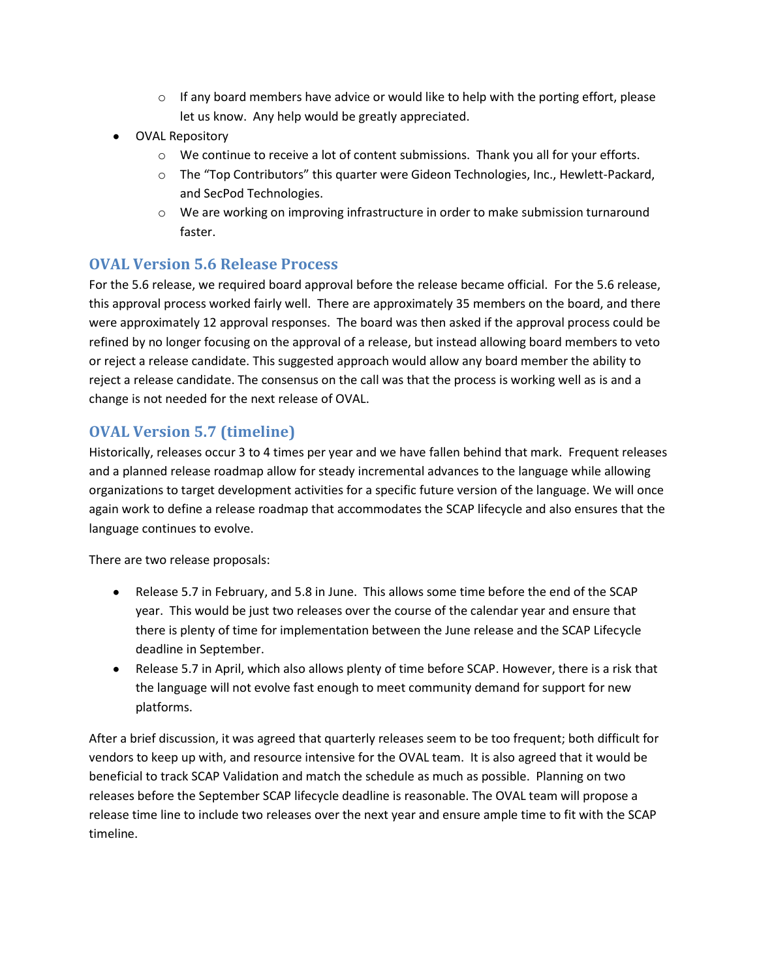- $\circ$  If any board members have advice or would like to help with the porting effort, please let us know. Any help would be greatly appreciated.
- OVAL Repository
	- o We continue to receive a lot of content submissions. Thank you all for your efforts.
	- o The "Top Contributors" this quarter were Gideon Technologies, Inc., Hewlett-Packard, and SecPod Technologies.
	- o We are working on improving infrastructure in order to make submission turnaround faster.

#### **OVAL Version 5.6 Release Process**

For the 5.6 release, we required board approval before the release became official. For the 5.6 release, this approval process worked fairly well. There are approximately 35 members on the board, and there were approximately 12 approval responses. The board was then asked if the approval process could be refined by no longer focusing on the approval of a release, but instead allowing board members to veto or reject a release candidate. This suggested approach would allow any board member the ability to reject a release candidate. The consensus on the call was that the process is working well as is and a change is not needed for the next release of OVAL.

## **OVAL Version 5.7 (timeline)**

Historically, releases occur 3 to 4 times per year and we have fallen behind that mark. Frequent releases and a planned release roadmap allow for steady incremental advances to the language while allowing organizations to target development activities for a specific future version of the language. We will once again work to define a release roadmap that accommodates the SCAP lifecycle and also ensures that the language continues to evolve.

There are two release proposals:

- Release 5.7 in February, and 5.8 in June. This allows some time before the end of the SCAP year. This would be just two releases over the course of the calendar year and ensure that there is plenty of time for implementation between the June release and the SCAP Lifecycle deadline in September.
- Release 5.7 in April, which also allows plenty of time before SCAP. However, there is a risk that the language will not evolve fast enough to meet community demand for support for new platforms.

After a brief discussion, it was agreed that quarterly releases seem to be too frequent; both difficult for vendors to keep up with, and resource intensive for the OVAL team. It is also agreed that it would be beneficial to track SCAP Validation and match the schedule as much as possible. Planning on two releases before the September SCAP lifecycle deadline is reasonable. The OVAL team will propose a release time line to include two releases over the next year and ensure ample time to fit with the SCAP timeline.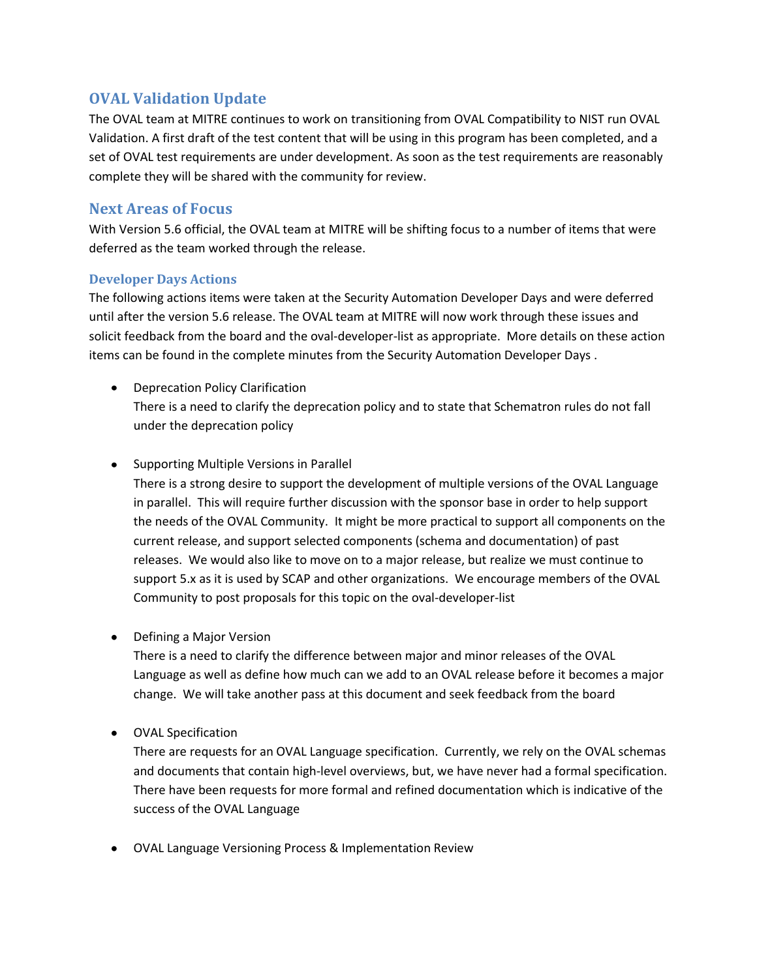## **OVAL Validation Update**

The OVAL team at MITRE continues to work on transitioning from OVAL Compatibility to NIST run OVAL Validation. A first draft of the test content that will be using in this program has been completed, and a set of OVAL test requirements are under development. As soon as the test requirements are reasonably complete they will be shared with the community for review.

#### **Next Areas of Focus**

With Version 5.6 official, the OVAL team at MITRE will be shifting focus to a number of items that were deferred as the team worked through the release.

#### **Developer Days Actions**

The following actions items were taken at the Security Automation Developer Days and were deferred until after the version 5.6 release. The OVAL team at MITRE will now work through these issues and solicit feedback from the board and the oval-developer-list as appropriate. More details on these action items can be found in the complete minutes from the Security Automation Developer Days .

- Deprecation Policy Clarification There is a need to clarify the deprecation policy and to state that Schematron rules do not fall under the deprecation policy
- Supporting Multiple Versions in Parallel

There is a strong desire to support the development of multiple versions of the OVAL Language in parallel. This will require further discussion with the sponsor base in order to help support the needs of the OVAL Community. It might be more practical to support all components on the current release, and support selected components (schema and documentation) of past releases. We would also like to move on to a major release, but realize we must continue to support 5.x as it is used by SCAP and other organizations. We encourage members of the OVAL Community to post proposals for this topic on the oval-developer-list

• Defining a Major Version

There is a need to clarify the difference between major and minor releases of the OVAL Language as well as define how much can we add to an OVAL release before it becomes a major change. We will take another pass at this document and seek feedback from the board

OVAL Specification

There are requests for an OVAL Language specification. Currently, we rely on the OVAL schemas and documents that contain high-level overviews, but, we have never had a formal specification. There have been requests for more formal and refined documentation which is indicative of the success of the OVAL Language

OVAL Language Versioning Process & Implementation Review